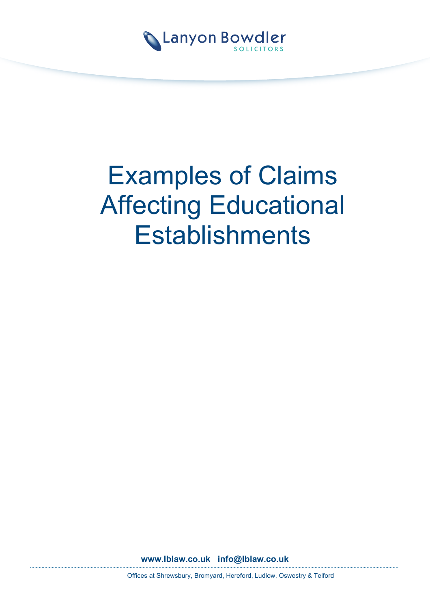

# Examples of Claims Affecting Educational **Establishments**

**www.lblaw.co.uk info@lblaw.co.uk**

Offices at Shrewsbury, Bromyard, Hereford, Ludlow, Oswestry & Telford